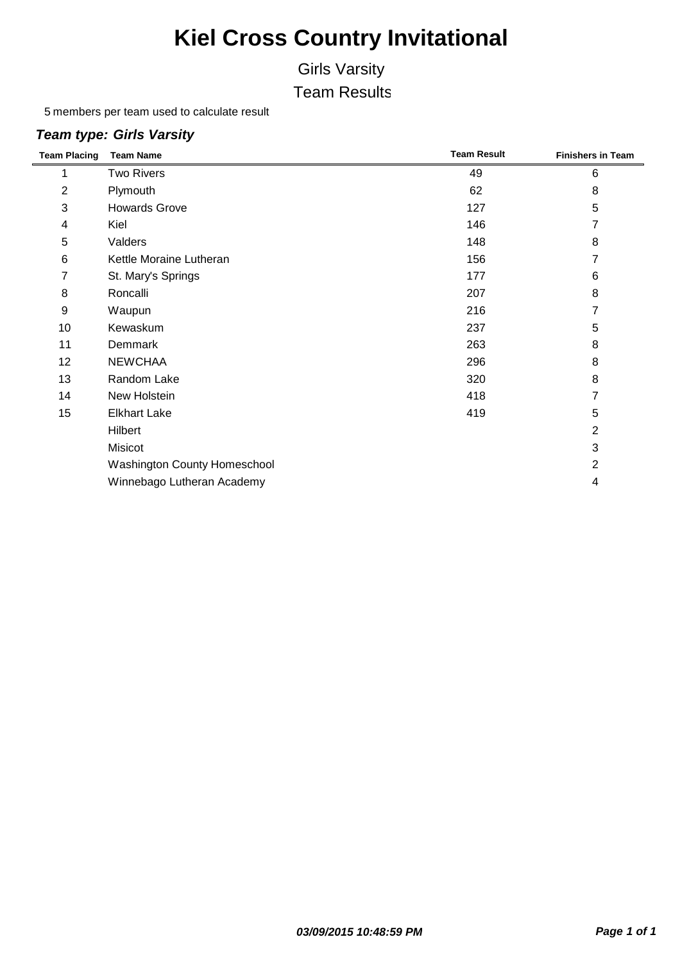### Girls Varsity

Team Results

members per team used to calculate result

#### *Team type: Girls Varsity*

| <b>Team Placing</b> | <b>Team Name</b>             | <b>Team Result</b> | <b>Finishers in Team</b> |
|---------------------|------------------------------|--------------------|--------------------------|
|                     | <b>Two Rivers</b>            | 49                 | 6                        |
| $\overline{2}$      | Plymouth                     | 62                 | 8                        |
| 3                   | <b>Howards Grove</b>         | 127                | 5                        |
| 4                   | Kiel                         | 146                | 7                        |
| 5                   | Valders                      | 148                | 8                        |
| 6                   | Kettle Moraine Lutheran      | 156                |                          |
| 7                   | St. Mary's Springs           | 177                | 6                        |
| 8                   | Roncalli                     | 207                | 8                        |
| 9                   | Waupun                       | 216                | 7                        |
| 10                  | Kewaskum                     | 237                | 5                        |
| 11                  | <b>Demmark</b>               | 263                | 8                        |
| 12                  | <b>NEWCHAA</b>               | 296                | 8                        |
| 13                  | Random Lake                  | 320                | 8                        |
| 14                  | New Holstein                 | 418                | 7                        |
| 15                  | <b>Elkhart Lake</b>          | 419                | 5                        |
|                     | Hilbert                      |                    | $\overline{2}$           |
|                     | Misicot                      |                    | 3                        |
|                     | Washington County Homeschool |                    | $\overline{2}$           |
|                     | Winnebago Lutheran Academy   |                    | 4                        |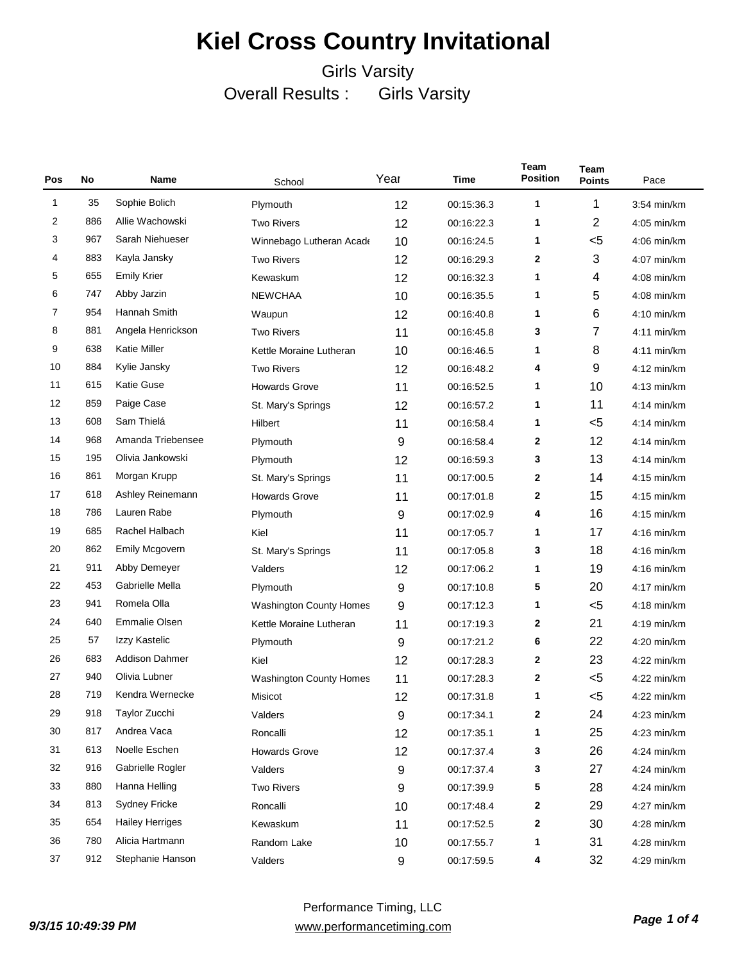| Pos | No  | Year<br>Time<br><b>Name</b><br>School |                                | Team<br><b>Position</b> | <b>Team</b><br><b>Points</b> | Pace |                |               |
|-----|-----|---------------------------------------|--------------------------------|-------------------------|------------------------------|------|----------------|---------------|
| 1   | 35  | Sophie Bolich                         | Plymouth                       | 12                      | 00:15:36.3                   | 1    | 1              | 3:54 min/km   |
| 2   | 886 | Allie Wachowski                       | <b>Two Rivers</b>              | 12                      | 00:16:22.3                   | 1    | $\overline{c}$ | 4:05 min/km   |
| 3   | 967 | Sarah Niehueser                       | Winnebago Lutheran Acade       | 10                      | 00:16:24.5                   | 1    | $<$ 5          | $4:06$ min/km |
| 4   | 883 | Kayla Jansky                          | <b>Two Rivers</b>              | 12                      | 00:16:29.3                   | 2    | 3              | 4:07 min/km   |
| 5   | 655 | <b>Emily Krier</b>                    | Kewaskum                       | 12                      | 00:16:32.3                   | 1    | 4              | 4:08 min/km   |
| 6   | 747 | Abby Jarzin                           | <b>NEWCHAA</b>                 | 10                      | 00:16:35.5                   | 1    | 5              | 4:08 min/km   |
| 7   | 954 | Hannah Smith                          | Waupun                         | 12                      | 00:16:40.8                   | 1    | 6              | $4:10$ min/km |
| 8   | 881 | Angela Henrickson                     | <b>Two Rivers</b>              | 11                      | 00:16:45.8                   | 3    | 7              | $4:11$ min/km |
| 9   | 638 | Katie Miller                          | Kettle Moraine Lutheran        | 10                      | 00:16:46.5                   | 1    | 8              | $4:11$ min/km |
| 10  | 884 | Kylie Jansky                          | <b>Two Rivers</b>              | 12                      | 00:16:48.2                   | 4    | 9              | 4:12 min/km   |
| 11  | 615 | Katie Guse                            | <b>Howards Grove</b>           | 11                      | 00:16:52.5                   | 1    | 10             | $4:13$ min/km |
| 12  | 859 | Paige Case                            | St. Mary's Springs             | 12                      | 00:16:57.2                   | 1    | 11             | $4:14$ min/km |
| 13  | 608 | Sam Thielá                            | Hilbert                        | 11                      | 00:16:58.4                   | 1    | $5$            | $4:14$ min/km |
| 14  | 968 | Amanda Triebensee                     | Plymouth                       | 9                       | 00:16:58.4                   | 2    | 12             | 4:14 min/km   |
| 15  | 195 | Olivia Jankowski                      | Plymouth                       | 12                      | 00:16:59.3                   | 3    | 13             | $4:14$ min/km |
| 16  | 861 | Morgan Krupp                          | St. Mary's Springs             | 11                      | 00:17:00.5                   | 2    | 14             | 4:15 min/km   |
| 17  | 618 | Ashley Reinemann                      | <b>Howards Grove</b>           | 11                      | 00:17:01.8                   | 2    | 15             | $4:15$ min/km |
| 18  | 786 | Lauren Rabe                           | Plymouth                       | 9                       | 00:17:02.9                   | 4    | 16             | $4:15$ min/km |
| 19  | 685 | Rachel Halbach                        | Kiel                           | 11                      | 00:17:05.7                   | 1    | 17             | 4:16 min/km   |
| 20  | 862 | <b>Emily Mcgovern</b>                 | St. Mary's Springs             | 11                      | 00:17:05.8                   | 3    | 18             | 4:16 min/km   |
| 21  | 911 | Abby Demeyer                          | Valders                        | 12                      | 00:17:06.2                   | 1    | 19             | $4:16$ min/km |
| 22  | 453 | Gabrielle Mella                       | Plymouth                       | 9                       | 00:17:10.8                   | 5    | 20             | 4:17 min/km   |
| 23  | 941 | Romela Olla                           | <b>Washington County Homes</b> | 9                       | 00:17:12.3                   | 1    | $5$            | $4:18$ min/km |
| 24  | 640 | <b>Emmalie Olsen</b>                  | Kettle Moraine Lutheran        | 11                      | 00:17:19.3                   | 2    | 21             | 4:19 min/km   |
| 25  | 57  | Izzy Kastelic                         | Plymouth                       | 9                       | 00:17:21.2                   | 6    | 22             | 4:20 min/km   |
| 26  | 683 | <b>Addison Dahmer</b>                 | Kiel                           | 12                      | 00:17:28.3                   | 2    | 23             | $4:22$ min/km |
| 27  | 940 | Olivia Lubner                         | <b>Washington County Homes</b> | 11                      | 00:17:28.3                   | 2    | $5$            | $4:22$ min/km |
| 28  | 719 | Kendra Wernecke                       | Misicot                        | 12                      | 00:17:31.8                   | 1    | $<$ 5          | $4:22$ min/km |
| 29  | 918 | Taylor Zucchi                         | Valders                        | 9                       | 00:17:34.1                   | 2    | 24             | 4:23 min/km   |
| 30  | 817 | Andrea Vaca                           | Roncalli                       | 12                      | 00:17:35.1                   | 1    | 25             | 4:23 min/km   |
| 31  | 613 | Noelle Eschen                         | <b>Howards Grove</b>           | 12                      | 00:17:37.4                   | 3    | 26             | 4:24 min/km   |
| 32  | 916 | Gabrielle Rogler                      | Valders                        | 9                       | 00:17:37.4                   | 3    | 27             | $4:24$ min/km |
| 33  | 880 | Hanna Helling                         | <b>Two Rivers</b>              | 9                       | 00:17:39.9                   | 5    | 28             | 4:24 min/km   |
| 34  | 813 | <b>Sydney Fricke</b>                  | Roncalli                       | 10                      | 00:17:48.4                   | 2    | 29             | 4:27 min/km   |
| 35  | 654 | <b>Hailey Herriges</b>                | Kewaskum                       | 11                      | 00:17:52.5                   | 2    | 30             | 4:28 min/km   |
| 36  | 780 | Alicia Hartmann                       | Random Lake                    | 10                      | 00:17:55.7                   | 1    | 31             | 4:28 min/km   |
| 37  | 912 | Stephanie Hanson                      | Valders                        | 9                       | 00:17:59.5                   | 4    | 32             | 4:29 min/km   |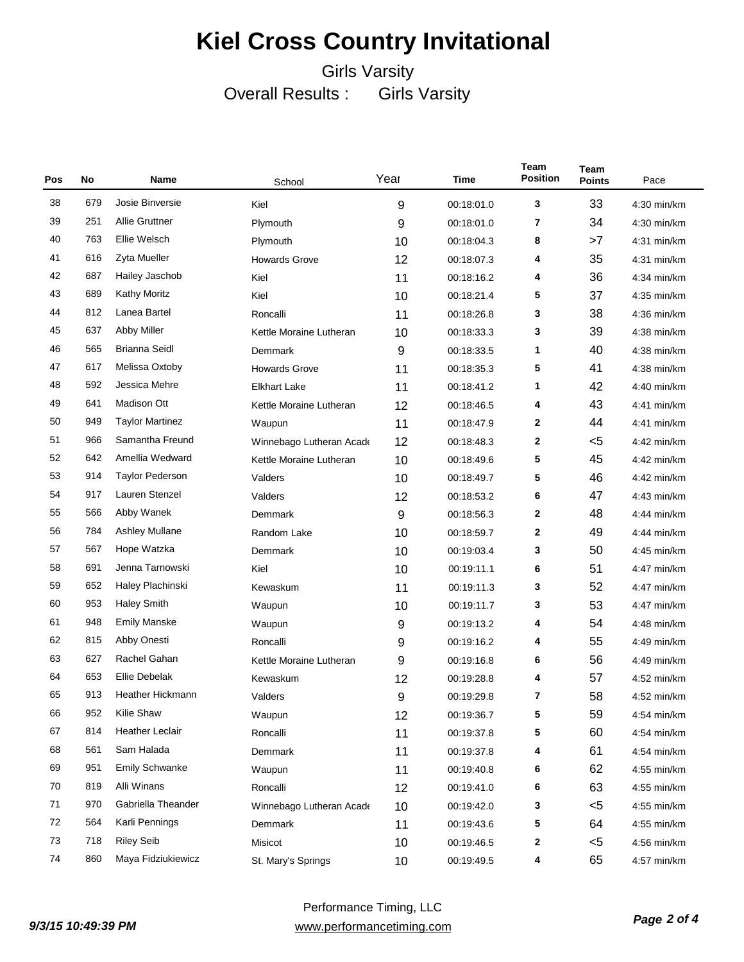| Pos | No  | Name                    | School                   | Year | Time       | Team<br><b>Position</b> | <b>Team</b><br><b>Points</b> | Pace          |
|-----|-----|-------------------------|--------------------------|------|------------|-------------------------|------------------------------|---------------|
| 38  | 679 | Josie Binversie         | Kiel                     | 9    | 00:18:01.0 | 3                       | 33                           | 4:30 min/km   |
| 39  | 251 | <b>Allie Gruttner</b>   | Plymouth                 | 9    | 00:18:01.0 | 7                       | 34                           | 4:30 min/km   |
| 40  | 763 | Ellie Welsch            | Plymouth                 | 10   | 00:18:04.3 | 8                       | >7                           | $4:31$ min/km |
| 41  | 616 | Zyta Mueller            | <b>Howards Grove</b>     | 12   | 00:18:07.3 | 4                       | 35                           | $4:31$ min/km |
| 42  | 687 | Hailey Jaschob          | Kiel                     | 11   | 00:18:16.2 | 4                       | 36                           | 4:34 min/km   |
| 43  | 689 | <b>Kathy Moritz</b>     | Kiel                     | 10   | 00:18:21.4 | 5                       | 37                           | 4:35 min/km   |
| 44  | 812 | Lanea Bartel            | Roncalli                 | 11   | 00:18:26.8 | 3                       | 38                           | $4:36$ min/km |
| 45  | 637 | <b>Abby Miller</b>      | Kettle Moraine Lutheran  | 10   | 00:18:33.3 | 3                       | 39                           | 4:38 min/km   |
| 46  | 565 | <b>Brianna Seidl</b>    | Demmark                  | 9    | 00:18:33.5 | 1                       | 40                           | 4:38 min/km   |
| 47  | 617 | Melissa Oxtoby          | <b>Howards Grove</b>     | 11   | 00:18:35.3 | 5                       | 41                           | $4:38$ min/km |
| 48  | 592 | Jessica Mehre           | <b>Elkhart Lake</b>      | 11   | 00:18:41.2 | 1                       | 42                           | 4:40 min/km   |
| 49  | 641 | <b>Madison Ott</b>      | Kettle Moraine Lutheran  | 12   | 00:18:46.5 | 4                       | 43                           | 4:41 min/km   |
| 50  | 949 | <b>Taylor Martinez</b>  | Waupun                   | 11   | 00:18:47.9 | 2                       | 44                           | 4:41 min/km   |
| 51  | 966 | Samantha Freund         | Winnebago Lutheran Acade | 12   | 00:18:48.3 | 2                       | $<$ 5                        | 4:42 min/km   |
| 52  | 642 | Amellia Wedward         | Kettle Moraine Lutheran  | 10   | 00:18:49.6 | 5                       | 45                           | 4:42 min/km   |
| 53  | 914 | <b>Taylor Pederson</b>  | Valders                  | 10   | 00:18:49.7 | 5                       | 46                           | 4:42 min/km   |
| 54  | 917 | Lauren Stenzel          | Valders                  | 12   | 00:18:53.2 | 6                       | 47                           | $4:43$ min/km |
| 55  | 566 | Abby Wanek              | Demmark                  | 9    | 00:18:56.3 | 2                       | 48                           | 4:44 min/km   |
| 56  | 784 | <b>Ashley Mullane</b>   | Random Lake              | 10   | 00:18:59.7 | 2                       | 49                           | 4:44 min/km   |
| 57  | 567 | Hope Watzka             | Demmark                  | 10   | 00:19:03.4 | 3                       | 50                           | 4:45 min/km   |
| 58  | 691 | Jenna Tarnowski         | Kiel                     | 10   | 00:19:11.1 | 6                       | 51                           | 4:47 min/km   |
| 59  | 652 | Haley Plachinski        | Kewaskum                 | 11   | 00:19:11.3 | 3                       | 52                           | 4:47 min/km   |
| 60  | 953 | <b>Haley Smith</b>      | Waupun                   | 10   | 00:19:11.7 | 3                       | 53                           | 4:47 min/km   |
| 61  | 948 | <b>Emily Manske</b>     | Waupun                   | 9    | 00:19:13.2 | 4                       | 54                           | 4:48 min/km   |
| 62  | 815 | Abby Onesti             | Roncalli                 | 9    | 00:19:16.2 | 4                       | 55                           | 4:49 min/km   |
| 63  | 627 | Rachel Gahan            | Kettle Moraine Lutheran  | 9    | 00:19:16.8 | 6                       | 56                           | 4:49 min/km   |
| 64  | 653 | <b>Ellie Debelak</b>    | Kewaskum                 | 12   | 00:19:28.8 | 4                       | 57                           | 4:52 min/km   |
| 65  | 913 | <b>Heather Hickmann</b> | Valders                  | 9    | 00:19:29.8 | 7                       | 58                           | 4:52 min/km   |
| 66  | 952 | Kilie Shaw              | Waupun                   | 12   | 00:19:36.7 | 5                       | 59                           | 4:54 min/km   |
| 67  | 814 | <b>Heather Leclair</b>  | Roncalli                 | 11   | 00:19:37.8 | 5                       | 60                           | 4:54 min/km   |
| 68  | 561 | Sam Halada              | Demmark                  | 11   | 00:19:37.8 | 4                       | 61                           | 4:54 min/km   |
| 69  | 951 | <b>Emily Schwanke</b>   | Waupun                   | 11   | 00:19:40.8 | 6                       | 62                           | 4:55 min/km   |
| 70  | 819 | Alli Winans             | Roncalli                 | 12   | 00:19:41.0 | 6                       | 63                           | 4:55 min/km   |
| 71  | 970 | Gabriella Theander      | Winnebago Lutheran Acade | 10   | 00:19:42.0 | 3                       | $<$ 5                        | 4:55 min/km   |
| 72  | 564 | Karli Pennings          | Demmark                  | 11   | 00:19:43.6 | 5                       | 64                           | 4:55 min/km   |
| 73  | 718 | <b>Riley Seib</b>       | Misicot                  | 10   | 00:19:46.5 | 2                       | $5$                          | 4:56 min/km   |
| 74  | 860 | Maya Fidziukiewicz      | St. Mary's Springs       | 10   | 00:19:49.5 | 4                       | 65                           | 4:57 min/km   |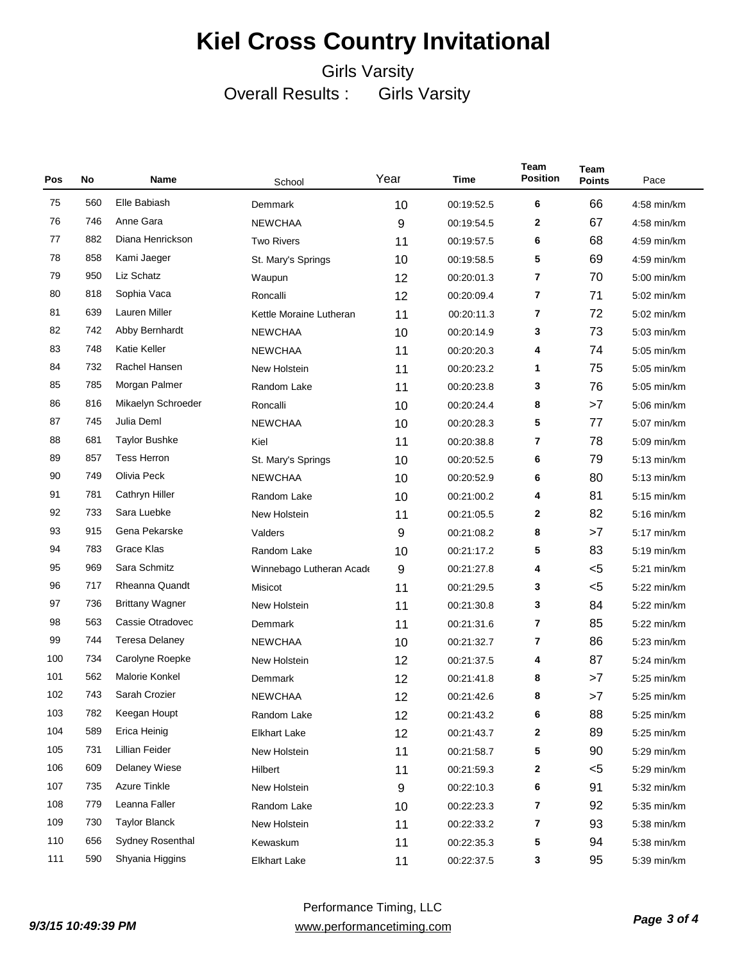| Pos | No  | Name                   | School                   | Year             | Time       | Team<br><b>Position</b> | <b>Team</b><br><b>Points</b> | Pace        |
|-----|-----|------------------------|--------------------------|------------------|------------|-------------------------|------------------------------|-------------|
| 75  | 560 | Elle Babiash           | Demmark                  | 10               | 00:19:52.5 | 6                       | 66                           | 4:58 min/km |
| 76  | 746 | Anne Gara              | <b>NEWCHAA</b>           | 9                | 00:19:54.5 | 2                       | 67                           | 4:58 min/km |
| 77  | 882 | Diana Henrickson       | <b>Two Rivers</b>        | 11               | 00:19:57.5 | 6                       | 68                           | 4:59 min/km |
| 78  | 858 | Kami Jaeger            | St. Mary's Springs       | 10               | 00:19:58.5 | 5                       | 69                           | 4:59 min/km |
| 79  | 950 | Liz Schatz             | Waupun                   | 12               | 00:20:01.3 | 7                       | 70                           | 5:00 min/km |
| 80  | 818 | Sophia Vaca            | Roncalli                 | 12               | 00:20:09.4 | 7                       | 71                           | 5:02 min/km |
| 81  | 639 | Lauren Miller          | Kettle Moraine Lutheran  | 11               | 00:20:11.3 | 7                       | 72                           | 5:02 min/km |
| 82  | 742 | Abby Bernhardt         | <b>NEWCHAA</b>           | 10               | 00:20:14.9 | 3                       | 73                           | 5:03 min/km |
| 83  | 748 | <b>Katie Keller</b>    | <b>NEWCHAA</b>           | 11               | 00:20:20.3 | 4                       | 74                           | 5:05 min/km |
| 84  | 732 | Rachel Hansen          | New Holstein             | 11               | 00:20:23.2 | 1                       | 75                           | 5:05 min/km |
| 85  | 785 | Morgan Palmer          | Random Lake              | 11               | 00:20:23.8 | 3                       | 76                           | 5:05 min/km |
| 86  | 816 | Mikaelyn Schroeder     | Roncalli                 | 10               | 00:20:24.4 | 8                       | >7                           | 5:06 min/km |
| 87  | 745 | Julia Deml             | <b>NEWCHAA</b>           | 10               | 00:20:28.3 | 5                       | 77                           | 5:07 min/km |
| 88  | 681 | <b>Taylor Bushke</b>   | Kiel                     | 11               | 00:20:38.8 | 7                       | 78                           | 5:09 min/km |
| 89  | 857 | <b>Tess Herron</b>     | St. Mary's Springs       | 10               | 00:20:52.5 | 6                       | 79                           | 5:13 min/km |
| 90  | 749 | Olivia Peck            | <b>NEWCHAA</b>           | 10               | 00:20:52.9 | 6                       | 80                           | 5:13 min/km |
| 91  | 781 | Cathryn Hiller         | Random Lake              | 10               | 00:21:00.2 | 4                       | 81                           | 5:15 min/km |
| 92  | 733 | Sara Luebke            | New Holstein             | 11               | 00:21:05.5 | 2                       | 82                           | 5:16 min/km |
| 93  | 915 | Gena Pekarske          | Valders                  | 9                | 00:21:08.2 | 8                       | >7                           | 5:17 min/km |
| 94  | 783 | Grace Klas             | Random Lake              | 10               | 00:21:17.2 | 5                       | 83                           | 5:19 min/km |
| 95  | 969 | Sara Schmitz           | Winnebago Lutheran Acade | $\boldsymbol{9}$ | 00:21:27.8 | 4                       | $5$                          | 5:21 min/km |
| 96  | 717 | <b>Rheanna Quandt</b>  | Misicot                  | 11               | 00:21:29.5 | 3                       | $5$                          | 5:22 min/km |
| 97  | 736 | <b>Brittany Wagner</b> | New Holstein             | 11               | 00:21:30.8 | 3                       | 84                           | 5:22 min/km |
| 98  | 563 | Cassie Otradovec       | Demmark                  | 11               | 00:21:31.6 | 7                       | 85                           | 5:22 min/km |
| 99  | 744 | <b>Teresa Delaney</b>  | <b>NEWCHAA</b>           | 10               | 00:21:32.7 | 7                       | 86                           | 5:23 min/km |
| 100 | 734 | Carolyne Roepke        | New Holstein             | 12               | 00:21:37.5 | 4                       | 87                           | 5:24 min/km |
| 101 | 562 | Malorie Konkel         | Demmark                  | 12               | 00:21:41.8 | 8                       | >7                           | 5:25 min/km |
| 102 | 743 | Sarah Crozier          | <b>NEWCHAA</b>           | 12               | 00:21:42.6 | 8                       | >7                           | 5:25 min/km |
| 103 | 782 | Keegan Houpt           | Random Lake              | 12               | 00:21:43.2 | 6                       | 88                           | 5:25 min/km |
| 104 | 589 | Erica Heinig           | <b>Elkhart Lake</b>      | 12               | 00:21:43.7 | 2                       | 89                           | 5:25 min/km |
| 105 | 731 | Lillian Feider         | New Holstein             | 11               | 00:21:58.7 | 5                       | 90                           | 5:29 min/km |
| 106 | 609 | <b>Delaney Wiese</b>   | Hilbert                  | 11               | 00:21:59.3 | 2                       | $5$                          | 5:29 min/km |
| 107 | 735 | <b>Azure Tinkle</b>    | New Holstein             | 9                | 00:22:10.3 | 6                       | 91                           | 5:32 min/km |
| 108 | 779 | Leanna Faller          | Random Lake              | 10               | 00:22:23.3 | 7                       | 92                           | 5:35 min/km |
| 109 | 730 | <b>Taylor Blanck</b>   | New Holstein             | 11               | 00:22:33.2 | 7                       | 93                           | 5:38 min/km |
| 110 | 656 | Sydney Rosenthal       | Kewaskum                 | 11               | 00:22:35.3 | 5                       | 94                           | 5:38 min/km |
| 111 | 590 | Shyania Higgins        | <b>Elkhart Lake</b>      | 11               | 00:22:37.5 | 3                       | 95                           | 5:39 min/km |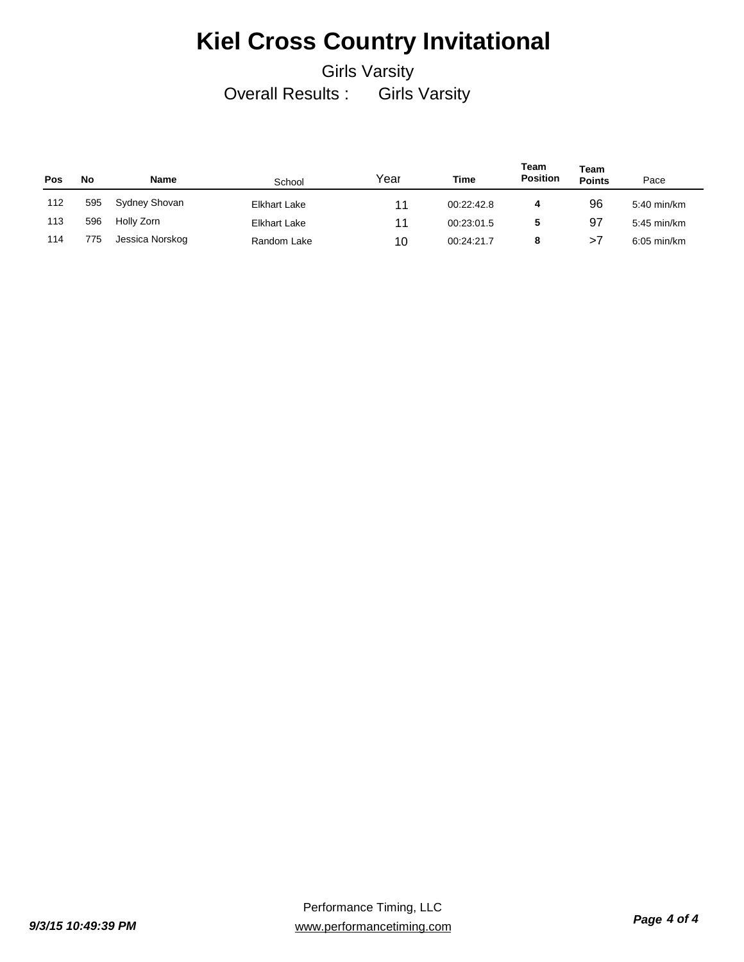| Pos | No  | Name            | School       | Year | Time       | Team<br><b>Position</b> | Team<br><b>Points</b> | Pace                  |
|-----|-----|-----------------|--------------|------|------------|-------------------------|-----------------------|-----------------------|
| 112 | 595 | Sydney Shovan   | Elkhart Lake | 11   | 00:22:42.8 | 4                       | 96                    | 5:40 min/km           |
| 113 | 596 | Holly Zorn      | Elkhart Lake | 11   | 00:23:01.5 | 5                       | 97                    | 5:45 min/km           |
| 114 | 775 | Jessica Norskog | Random Lake  | 10   | 00:24:21.7 | 8                       | >1                    | $6:05 \text{ min/km}$ |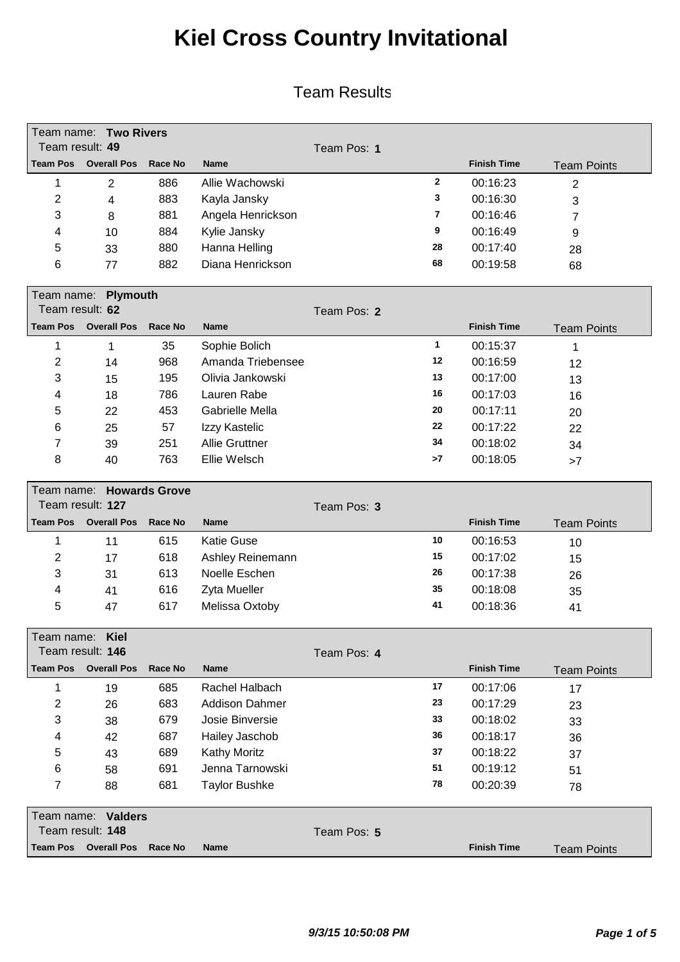| Team result: 49        | Team name: Two Rivers    |                |                       |             |                |                    |                    |  |  |
|------------------------|--------------------------|----------------|-----------------------|-------------|----------------|--------------------|--------------------|--|--|
| <b>Team Pos</b>        | <b>Overall Pos</b>       | <b>Race No</b> | <b>Name</b>           | Team Pos: 1 |                | <b>Finish Time</b> |                    |  |  |
|                        |                          |                |                       |             | $\overline{2}$ |                    | <b>Team Points</b> |  |  |
| 1                      | $\overline{2}$           | 886            | Allie Wachowski       |             |                | 00:16:23           | $\overline{2}$     |  |  |
| $\overline{2}$         | 4                        | 883            | Kayla Jansky          |             | 3              | 00:16:30           | 3                  |  |  |
| 3                      | 8                        | 881            | Angela Henrickson     |             | 7              | 00:16:46           | 7                  |  |  |
| 4                      | 10                       | 884            | Kylie Jansky          |             | 9              | 00:16:49           | 9                  |  |  |
| 5                      | 33                       | 880            | Hanna Helling         |             | 28             | 00:17:40           | 28                 |  |  |
| 6                      | 77                       | 882            | Diana Henrickson      |             | 68             | 00:19:58           | 68                 |  |  |
| Team name:<br>Plymouth |                          |                |                       |             |                |                    |                    |  |  |
| Team result: 62        |                          |                |                       | Team Pos: 2 |                |                    |                    |  |  |
| <b>Team Pos</b>        | <b>Overall Pos</b>       | <b>Race No</b> | <b>Name</b>           |             |                | <b>Finish Time</b> | <b>Team Points</b> |  |  |
| 1                      | 1                        | 35             | Sophie Bolich         |             | $\mathbf{1}$   | 00:15:37           | $\mathbf 1$        |  |  |
| $\overline{2}$         | 14                       | 968            | Amanda Triebensee     |             | 12             | 00:16:59           | 12                 |  |  |
| 3                      | 15                       | 195            | Olivia Jankowski      |             | 13             | 00:17:00           | 13                 |  |  |
| 4                      | 18                       | 786            | Lauren Rabe           |             | 16             | 00:17:03           | 16                 |  |  |
| 5                      | 22                       | 453            | Gabrielle Mella       |             | 20             | 00:17:11           | 20                 |  |  |
| 6                      | 25                       | 57             | Izzy Kastelic         |             | 22             | 00:17:22           | 22                 |  |  |
| 7                      | 39                       | 251            | <b>Allie Gruttner</b> |             | 34             | 00:18:02           | 34                 |  |  |
| 8                      | 40                       | 763            | Ellie Welsch          |             | >7             | 00:18:05           | >7                 |  |  |
|                        | Team name: Howards Grove |                |                       |             |                |                    |                    |  |  |
|                        | Team result: 127         |                |                       | Team Pos: 3 |                |                    |                    |  |  |
| <b>Team Pos</b>        | <b>Overall Pos</b>       | <b>Race No</b> | <b>Name</b>           |             |                | <b>Finish Time</b> | <b>Team Points</b> |  |  |
| 1                      | 11                       | 615            | <b>Katie Guse</b>     |             | 10             | 00:16:53           | 10                 |  |  |
| 2                      | 17                       | 618            | Ashley Reinemann      |             | 15             | 00:17:02           | 15                 |  |  |
| 3                      | 31                       | 613            | Noelle Eschen         |             | 26             | 00:17:38           | 26                 |  |  |
| 4                      | 41                       | 616            | Zyta Mueller          |             | 35             | 00:18:08           | 35                 |  |  |
| 5                      | 47                       | 617            | Melissa Oxtoby        |             | 41             | 00:18:36           | 41                 |  |  |
| Team name:             | Kiel                     |                |                       |             |                |                    |                    |  |  |
|                        | Team result: 146         |                |                       | Team Pos: 4 |                |                    |                    |  |  |
| <b>Team Pos</b>        | <b>Overall Pos</b>       | <b>Race No</b> | <b>Name</b>           |             |                | <b>Finish Time</b> | <b>Team Points</b> |  |  |
| $\mathbf 1$            | 19                       | 685            | Rachel Halbach        |             | 17             | 00:17:06           | 17                 |  |  |
| $\overline{2}$         | 26                       | 683            | <b>Addison Dahmer</b> |             | 23             | 00:17:29           | 23                 |  |  |
| 3                      | 38                       | 679            | Josie Binversie       |             | 33             | 00:18:02           | 33                 |  |  |
| 4                      | 42                       | 687            | Hailey Jaschob        |             | 36             | 00:18:17           | 36                 |  |  |
| 5                      | 43                       | 689            | <b>Kathy Moritz</b>   |             | 37             | 00:18:22           | 37                 |  |  |
| 6                      | 58                       | 691            | Jenna Tarnowski       |             | 51             | 00:19:12           | 51                 |  |  |
| 7                      | 88                       | 681            | <b>Taylor Bushke</b>  |             | 78             | 00:20:39           | 78                 |  |  |
|                        | Team name: Valders       |                |                       |             |                |                    |                    |  |  |
|                        | Team result: 148         |                |                       | Team Pos: 5 |                |                    |                    |  |  |
| <b>Team Pos</b>        | <b>Overall Pos</b>       | <b>Race No</b> | Name                  |             |                | <b>Finish Time</b> | <b>Team Points</b> |  |  |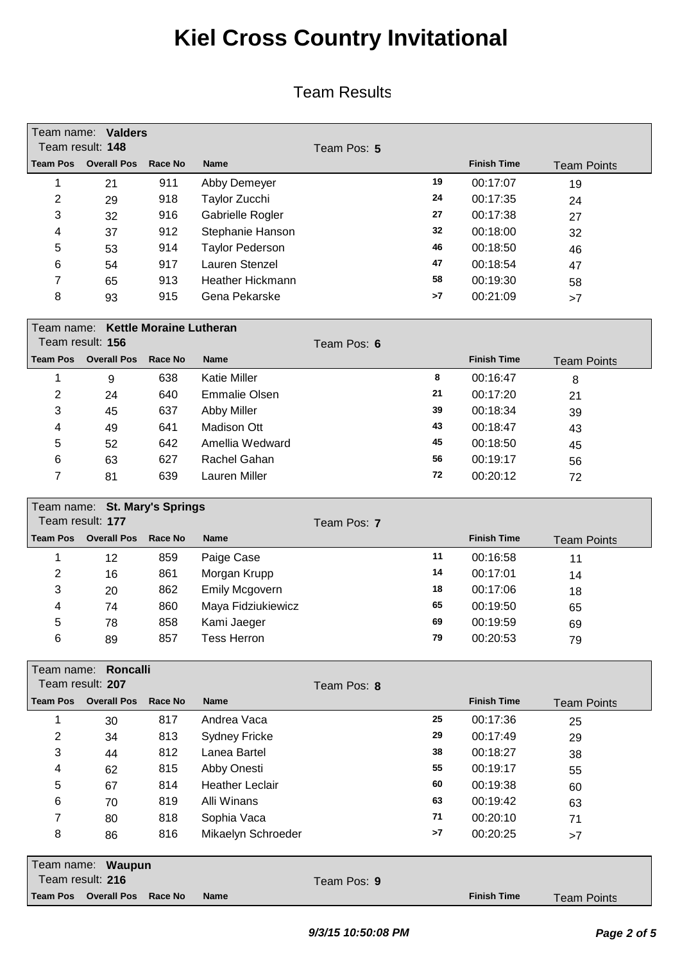| Team result: 148 | Team name: Valders                  |                                |                         |             |    |                    |                    |
|------------------|-------------------------------------|--------------------------------|-------------------------|-------------|----|--------------------|--------------------|
| <b>Team Pos</b>  | <b>Overall Pos</b>                  | Race No                        | <b>Name</b>             | Team Pos: 5 |    | <b>Finish Time</b> |                    |
|                  |                                     |                                |                         |             |    |                    | <b>Team Points</b> |
| 1                | 21                                  | 911                            | Abby Demeyer            |             | 19 | 00:17:07           | 19                 |
| 2                | 29                                  | 918                            | Taylor Zucchi           |             | 24 | 00:17:35           | 24                 |
| 3                | 32                                  | 916                            | Gabrielle Rogler        |             | 27 | 00:17:38           | 27                 |
| 4                | 37                                  | 912                            | Stephanie Hanson        |             | 32 | 00:18:00           | 32                 |
| 5                | 53                                  | 914                            | <b>Taylor Pederson</b>  |             | 46 | 00:18:50           | 46                 |
| 6                | 54                                  | 917                            | Lauren Stenzel          |             | 47 | 00:18:54           | 47                 |
| 7                | 65                                  | 913                            | <b>Heather Hickmann</b> |             | 58 | 00:19:30           | 58                 |
| 8                | 93                                  | 915                            | Gena Pekarske           |             | >7 | 00:21:09           | >7                 |
| Team name:       |                                     | <b>Kettle Moraine Lutheran</b> |                         |             |    |                    |                    |
| Team result: 156 |                                     |                                |                         | Team Pos: 6 |    |                    |                    |
|                  | <b>Team Pos</b> Overall Pos         | <b>Race No</b>                 | <b>Name</b>             |             |    | <b>Finish Time</b> | <b>Team Points</b> |
| 1                | 9                                   | 638                            | <b>Katie Miller</b>     |             | 8  | 00:16:47           | 8                  |
| 2                | 24                                  | 640                            | <b>Emmalie Olsen</b>    |             | 21 | 00:17:20           | 21                 |
| 3                | 45                                  | 637                            | <b>Abby Miller</b>      |             | 39 | 00:18:34           | 39                 |
| 4                | 49                                  | 641                            | Madison Ott             |             | 43 | 00:18:47           | 43                 |
| 5                | 52                                  | 642                            | Amellia Wedward         |             | 45 | 00:18:50           | 45                 |
| 6                | 63                                  | 627                            | Rachel Gahan            |             | 56 | 00:19:17           | 56                 |
| 7                | 81                                  | 639                            | Lauren Miller           |             | 72 | 00:20:12           | 72                 |
|                  |                                     |                                |                         |             |    |                    |                    |
|                  | Team name: St. Mary's Springs       |                                |                         |             |    |                    |                    |
|                  | Team result: 177                    |                                |                         | Team Pos: 7 |    |                    |                    |
| <b>Team Pos</b>  | <b>Overall Pos</b>                  | <b>Race No</b>                 | <b>Name</b>             |             |    | <b>Finish Time</b> | <b>Team Points</b> |
| 1                | 12                                  | 859                            | Paige Case              |             | 11 | 00:16:58           | 11                 |
| 2                | 16                                  | 861                            | Morgan Krupp            |             | 14 | 00:17:01           | 14                 |
| 3                | 20                                  | 862                            | Emily Mcgovern          |             | 18 | 00:17:06           | 18                 |
| 4                | 74                                  | 860                            | Maya Fidziukiewicz      |             | 65 | 00:19:50           | 65                 |
| 5                | 78                                  | 858                            | Kami Jaeger             |             | 69 | 00:19:59           | 69                 |
| 6                | 89                                  | 857                            | <b>Tess Herron</b>      |             | 79 | 00:20:53           | 79                 |
|                  |                                     |                                |                         |             |    |                    |                    |
| Team name:       | <b>Roncalli</b><br>Team result: 207 |                                |                         |             |    |                    |                    |
|                  |                                     |                                |                         | Team Pos: 8 |    |                    |                    |
| <b>Team Pos</b>  | <b>Overall Pos</b>                  | Race No                        | <b>Name</b>             |             |    | <b>Finish Time</b> | <b>Team Points</b> |
| 1                | 30                                  | 817                            | Andrea Vaca             |             | 25 | 00:17:36           | 25                 |
| 2                | 34                                  | 813                            | <b>Sydney Fricke</b>    |             | 29 | 00:17:49           | 29                 |
| 3                | 44                                  | 812                            | Lanea Bartel            |             | 38 | 00:18:27           | 38                 |
| 4                | 62                                  | 815                            | Abby Onesti             |             | 55 | 00:19:17           | 55                 |
| 5                | 67                                  | 814                            | <b>Heather Leclair</b>  |             | 60 | 00:19:38           | 60                 |
| 6                | 70                                  | 819                            | Alli Winans             |             | 63 | 00:19:42           | 63                 |
| 7                | 80                                  | 818                            | Sophia Vaca             |             | 71 | 00:20:10           | 71                 |
| 8                | 86                                  | 816                            | Mikaelyn Schroeder      |             | >7 | 00:20:25           | >7                 |
|                  | Team name: Waupun                   |                                |                         |             |    |                    |                    |
|                  | Team result: 216                    |                                |                         | Team Pos: 9 |    |                    |                    |
|                  | <b>Team Pos</b> Overall Pos         | Race No                        | Name                    |             |    | <b>Finish Time</b> | <b>Team Points</b> |
|                  |                                     |                                |                         |             |    |                    |                    |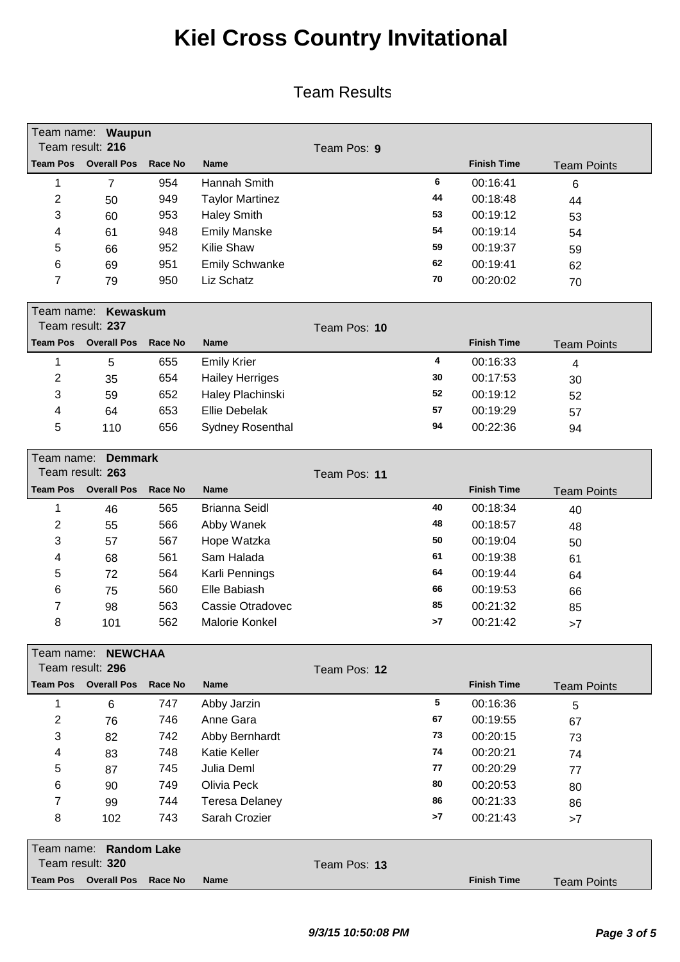|                                                                  | Team name: Waupun<br>Team result: 216      |                |                        |              |    |                    |                    |
|------------------------------------------------------------------|--------------------------------------------|----------------|------------------------|--------------|----|--------------------|--------------------|
| <b>Team Pos</b>                                                  | <b>Overall Pos</b>                         | Race No        | <b>Name</b>            | Team Pos: 9  |    | <b>Finish Time</b> | <b>Team Points</b> |
| 1                                                                | $\overline{7}$                             | 954            | Hannah Smith           |              | 6  | 00:16:41           | 6                  |
| 2                                                                | 50                                         | 949            | <b>Taylor Martinez</b> |              | 44 | 00:18:48           | 44                 |
| 3                                                                | 60                                         | 953            | <b>Haley Smith</b>     |              | 53 | 00:19:12           | 53                 |
| 4                                                                | 61                                         | 948            | <b>Emily Manske</b>    |              | 54 | 00:19:14           | 54                 |
| 5                                                                | 66                                         | 952            | Kilie Shaw             |              | 59 | 00:19:37           | 59                 |
| 6                                                                | 69                                         | 951            | <b>Emily Schwanke</b>  |              | 62 | 00:19:41           | 62                 |
| 7                                                                | 79                                         | 950            | Liz Schatz             |              | 70 | 00:20:02           | 70                 |
|                                                                  |                                            |                |                        |              |    |                    |                    |
| Team name:                                                       | <b>Kewaskum</b>                            |                |                        |              |    |                    |                    |
|                                                                  | Team result: 237                           |                |                        | Team Pos: 10 |    |                    |                    |
| <b>Team Pos</b>                                                  | <b>Overall Pos</b>                         | <b>Race No</b> | <b>Name</b>            |              |    | <b>Finish Time</b> | <b>Team Points</b> |
| 1                                                                | 5                                          | 655            | <b>Emily Krier</b>     |              | 4  | 00:16:33           | 4                  |
| 2                                                                | 35                                         | 654            | <b>Hailey Herriges</b> |              | 30 | 00:17:53           | 30                 |
| 3                                                                | 59                                         | 652            | Haley Plachinski       |              | 52 | 00:19:12           | 52                 |
| 4                                                                | 64                                         | 653            | <b>Ellie Debelak</b>   |              | 57 | 00:19:29           | 57                 |
| 5                                                                | 110                                        | 656            | Sydney Rosenthal       |              | 94 | 00:22:36           | 94                 |
|                                                                  |                                            |                |                        |              |    |                    |                    |
| Team name:<br><b>Demmark</b><br>Team result: 263<br>Team Pos: 11 |                                            |                |                        |              |    |                    |                    |
| <b>Team Pos</b>                                                  | <b>Overall Pos</b>                         | Race No        | <b>Name</b>            |              |    | <b>Finish Time</b> | <b>Team Points</b> |
| 1                                                                | 46                                         | 565            | <b>Brianna Seidl</b>   |              | 40 | 00:18:34           | 40                 |
| $\overline{c}$                                                   | 55                                         | 566            | Abby Wanek             |              | 48 | 00:18:57           |                    |
| 3                                                                | 57                                         | 567            | Hope Watzka            |              | 50 | 00:19:04           | 48                 |
| 4                                                                | 68                                         | 561            | Sam Halada             |              | 61 | 00:19:38           | 50                 |
| 5                                                                | 72                                         | 564            | Karli Pennings         |              | 64 | 00:19:44           | 61                 |
| 6                                                                | 75                                         | 560            | Elle Babiash           |              | 66 | 00:19:53           | 64                 |
| 7                                                                |                                            | 563            | Cassie Otradovec       |              | 85 | 00:21:32           | 66                 |
| 8                                                                | 98                                         | 562            | Malorie Konkel         |              | >7 | 00:21:42           | 85                 |
|                                                                  | 101                                        |                |                        |              |    |                    | >7                 |
|                                                                  | Team name: NEWCHAA                         |                |                        |              |    |                    |                    |
|                                                                  | Team result: 296                           |                |                        | Team Pos: 12 |    |                    |                    |
| <b>Team Pos</b>                                                  | <b>Overall Pos</b>                         | <b>Race No</b> | <b>Name</b>            |              |    | <b>Finish Time</b> | <b>Team Points</b> |
| 1                                                                | 6                                          | 747            | Abby Jarzin            |              | 5  | 00:16:36           | 5                  |
| 2                                                                | 76                                         | 746            | Anne Gara              |              | 67 | 00:19:55           | 67                 |
| 3                                                                | 82                                         | 742            | Abby Bernhardt         |              | 73 | 00:20:15           | 73                 |
| 4                                                                | 83                                         | 748            | <b>Katie Keller</b>    |              | 74 | 00:20:21           | 74                 |
| 5                                                                | 87                                         | 745            | Julia Deml             |              | 77 | 00:20:29           | 77                 |
| 6                                                                | 90                                         | 749            | Olivia Peck            |              | 80 | 00:20:53           | 80                 |
| 7                                                                | 99                                         | 744            | <b>Teresa Delaney</b>  |              | 86 | 00:21:33           | 86                 |
| 8                                                                | 102                                        | 743            | Sarah Crozier          |              | >7 | 00:21:43           | >7                 |
|                                                                  |                                            |                |                        |              |    |                    |                    |
|                                                                  | Team name: Random Lake<br>Team result: 320 |                |                        | Team Pos: 13 |    |                    |                    |
| <b>Team Pos</b>                                                  | <b>Overall Pos</b>                         | Race No        | <b>Name</b>            |              |    | <b>Finish Time</b> | <b>Team Points</b> |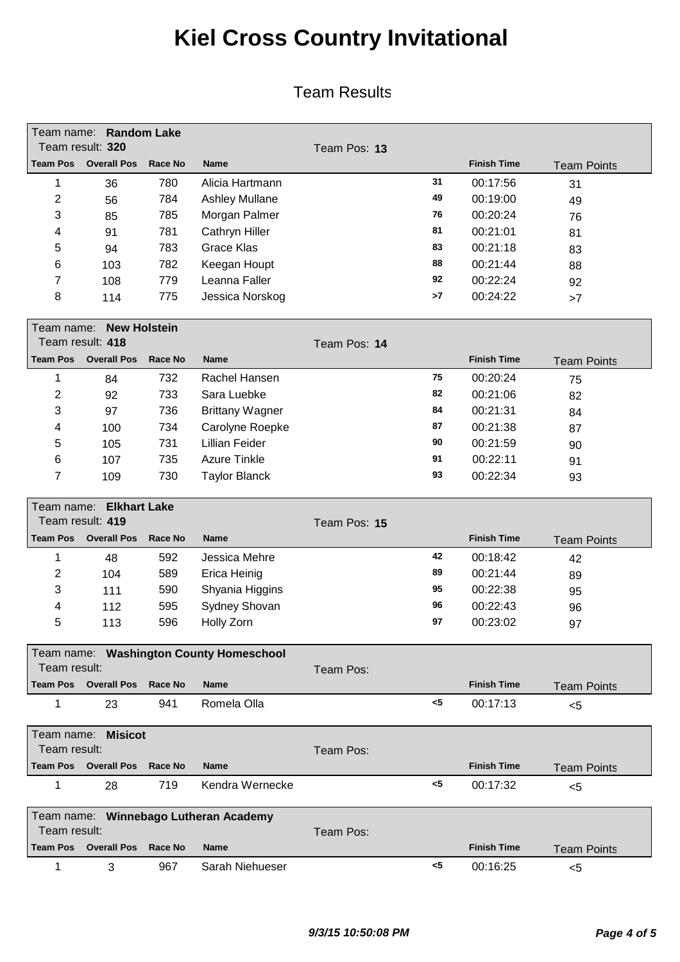| Team name:      | Team result: 320            | <b>Random Lake</b> |                                          | Team Pos: 13 |       |                    |                    |
|-----------------|-----------------------------|--------------------|------------------------------------------|--------------|-------|--------------------|--------------------|
| <b>Team Pos</b> | <b>Overall Pos</b>          | <b>Race No</b>     | <b>Name</b>                              |              |       | <b>Finish Time</b> | <b>Team Points</b> |
| 1               | 36                          | 780                | Alicia Hartmann                          |              | 31    | 00:17:56           | 31                 |
| $\overline{c}$  | 56                          | 784                | <b>Ashley Mullane</b>                    |              | 49    | 00:19:00           | 49                 |
| 3               | 85                          | 785                | Morgan Palmer                            |              | 76    | 00:20:24           | 76                 |
| 4               | 91                          | 781                | Cathryn Hiller                           |              | 81    | 00:21:01           | 81                 |
| 5               | 94                          | 783                | <b>Grace Klas</b>                        |              | 83    | 00:21:18           | 83                 |
| 6               | 103                         | 782                | Keegan Houpt                             |              | 88    | 00:21:44           | 88                 |
| 7               | 108                         | 779                | Leanna Faller                            |              | 92    | 00:22:24           | 92                 |
| 8               | 114                         | 775                | Jessica Norskog                          |              | >7    | 00:24:22           | >7                 |
| Team name:      | <b>New Holstein</b>         |                    |                                          |              |       |                    |                    |
|                 | Team result: 418            |                    |                                          | Team Pos: 14 |       |                    |                    |
| <b>Team Pos</b> | <b>Overall Pos</b>          | <b>Race No</b>     | <b>Name</b>                              |              |       | <b>Finish Time</b> | <b>Team Points</b> |
| 1               |                             | 732                | Rachel Hansen                            |              | 75    | 00:20:24           |                    |
| $\overline{c}$  | 84                          | 733                | Sara Luebke                              |              | 82    | 00:21:06           | 75                 |
|                 | 92                          |                    |                                          |              | 84    | 00:21:31           | 82                 |
| 3               | 97                          | 736                | <b>Brittany Wagner</b>                   |              | 87    | 00:21:38           | 84                 |
| 4               | 100                         | 734                | Carolyne Roepke<br><b>Lillian Feider</b> |              | 90    |                    | 87                 |
| 5               | 105                         | 731                |                                          |              | 91    | 00:21:59           | 90                 |
| 6               | 107                         | 735                | <b>Azure Tinkle</b>                      |              | 93    | 00:22:11           | 91                 |
| 7               | 109                         | 730                | <b>Taylor Blanck</b>                     |              |       | 00:22:34           | 93                 |
| Team name:      | <b>Elkhart Lake</b>         |                    |                                          |              |       |                    |                    |
|                 | Team result: 419            |                    |                                          | Team Pos: 15 |       |                    |                    |
| <b>Team Pos</b> | <b>Overall Pos</b>          | <b>Race No</b>     | <b>Name</b>                              |              |       | <b>Finish Time</b> | <b>Team Points</b> |
| 1               | 48                          | 592                | Jessica Mehre                            |              | 42    | 00:18:42           | 42                 |
| $\overline{c}$  | 104                         | 589                | Erica Heinig                             |              | 89    | 00:21:44           | 89                 |
| 3               | 111                         | 590                | Shyania Higgins                          |              | 95    | 00:22:38           | 95                 |
| 4               | 112                         | 595                | Sydney Shovan                            |              | 96    | 00:22:43           | 96                 |
| 5               | 113                         | 596                | Holly Zorn                               |              | 97    | 00:23:02           | 97                 |
|                 |                             |                    | Team name: Washington County Homeschool  |              |       |                    |                    |
| Team result:    |                             |                    |                                          | Team Pos:    |       |                    |                    |
|                 | <b>Team Pos</b> Overall Pos | Race No            | <b>Name</b>                              |              |       | <b>Finish Time</b> | <b>Team Points</b> |
| 1               | 23                          | 941                | Romela Olla                              |              | <5    | 00:17:13           | $5$                |
|                 | Team name: Misicot          |                    |                                          |              |       |                    |                    |
| Team result:    |                             |                    |                                          | Team Pos:    |       |                    |                    |
|                 | <b>Team Pos</b> Overall Pos | Race No            | <b>Name</b>                              |              |       | <b>Finish Time</b> | <b>Team Points</b> |
| 1               | 28                          | 719                | Kendra Wernecke                          |              | $<$ 5 | 00:17:32           | $5$                |
|                 |                             |                    | Team name: Winnebago Lutheran Academy    |              |       |                    |                    |
| Team result:    |                             |                    |                                          | Team Pos:    |       |                    |                    |
| Team Pos        | <b>Overall Pos</b>          | <b>Race No</b>     | <b>Name</b>                              |              |       | <b>Finish Time</b> | <b>Team Points</b> |
| 1               | 3                           | 967                | Sarah Niehueser                          |              | $5$   | 00:16:25           | $5$                |